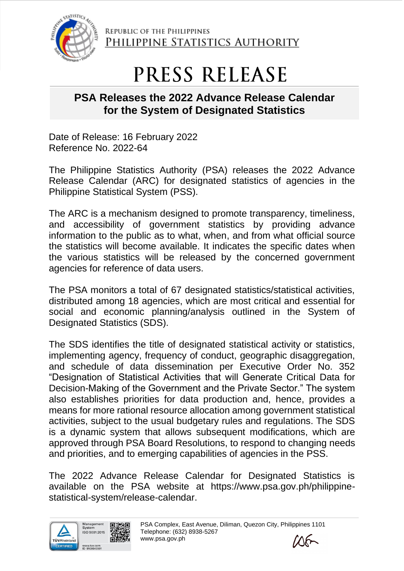

REPUBLIC OF THE PHILIPPINES PHILIPPINE STATISTICS AUTHORITY

## PRESS RELEASE

## **PSA Releases the 2022 Advance Release Calendar for the System of Designated Statistics**

Date of Release: 16 February 2022 Reference No. 2022-64

The Philippine Statistics Authority (PSA) releases the 2022 Advance Release Calendar (ARC) for designated statistics of agencies in the Philippine Statistical System (PSS).

The ARC is a mechanism designed to promote transparency, timeliness, and accessibility of government statistics by providing advance information to the public as to what, when, and from what official source the statistics will become available. It indicates the specific dates when the various statistics will be released by the concerned government agencies for reference of data users.

The PSA monitors a total of 67 designated statistics/statistical activities, distributed among 18 agencies, which are most critical and essential for social and economic planning/analysis outlined in the System of Designated Statistics (SDS).

The SDS identifies the title of designated statistical activity or statistics, implementing agency, frequency of conduct, geographic disaggregation, and schedule of data dissemination per Executive Order No. 352 "Designation of Statistical Activities that will Generate Critical Data for Decision-Making of the Government and the Private Sector." The system also establishes priorities for data production and, hence, provides a means for more rational resource allocation among government statistical activities, subject to the usual budgetary rules and regulations. The SDS is a dynamic system that allows subsequent modifications, which are approved through PSA Board Resolutions, to respond to changing needs and priorities, and to emerging capabilities of agencies in the PSS.

The 2022 Advance Release Calendar for Designated Statistics is available on the PSA website at https://www.psa.gov.ph/philippinestatistical-system/release-calendar.